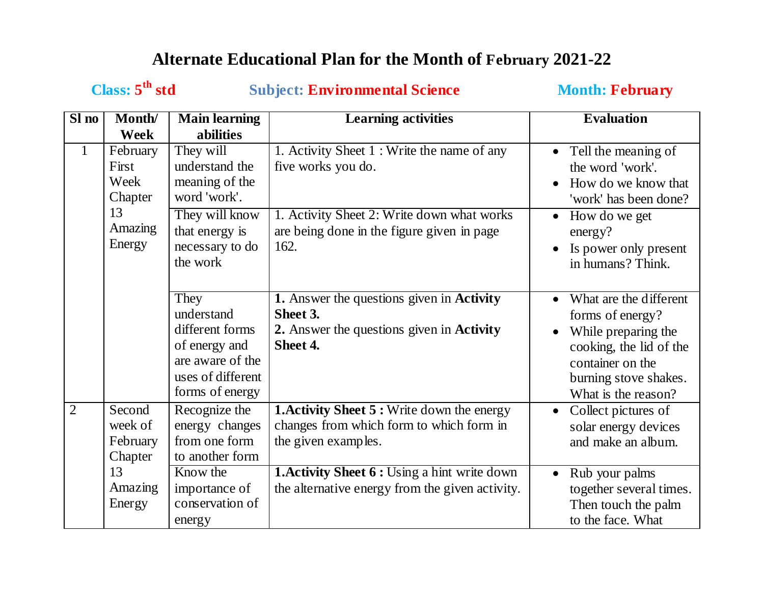# **Alternate Educational Plan for the Month of February 2021-22**

# **Class: 5**

**Subject: Environmental Science Month: February** 

| Sl no          | Month/                                   | <b>Main learning</b>                                                                                               | <b>Learning activities</b>                                                                                                   | <b>Evaluation</b>                                                                                                                                                |  |
|----------------|------------------------------------------|--------------------------------------------------------------------------------------------------------------------|------------------------------------------------------------------------------------------------------------------------------|------------------------------------------------------------------------------------------------------------------------------------------------------------------|--|
|                | Week                                     | abilities                                                                                                          |                                                                                                                              |                                                                                                                                                                  |  |
| $\mathbf{1}$   | February<br>First<br>Week<br>Chapter     | They will<br>understand the<br>meaning of the<br>word 'work'.                                                      | 1. Activity Sheet 1 : Write the name of any<br>five works you do.                                                            | Tell the meaning of<br>the word 'work'.<br>How do we know that<br>'work' has been done?                                                                          |  |
|                | 13<br>Amazing<br>Energy                  | They will know<br>that energy is<br>necessary to do<br>the work                                                    | 1. Activity Sheet 2: Write down what works<br>are being done in the figure given in page<br>162.                             | How do we get<br>$\bullet$<br>energy?<br>Is power only present<br>in humans? Think.                                                                              |  |
|                |                                          | They<br>understand<br>different forms<br>of energy and<br>are aware of the<br>uses of different<br>forms of energy | 1. Answer the questions given in <b>Activity</b><br>Sheet 3.<br>2. Answer the questions given in <b>Activity</b><br>Sheet 4. | What are the different<br>forms of energy?<br>While preparing the<br>cooking, the lid of the<br>container on the<br>burning stove shakes.<br>What is the reason? |  |
| $\overline{2}$ | Second<br>week of<br>February<br>Chapter | Recognize the<br>energy changes<br>from one form<br>to another form                                                | <b>1. Activity Sheet 5:</b> Write down the energy<br>changes from which form to which form in<br>the given examples.         | Collect pictures of<br>$\bullet$<br>solar energy devices<br>and make an album.                                                                                   |  |
|                | 13<br>Amazing<br>Energy                  | Know the<br>importance of<br>conservation of<br>energy                                                             | <b>1. Activity Sheet 6 : Using a hint write down</b><br>the alternative energy from the given activity.                      | Rub your palms<br>$\bullet$<br>together several times.<br>Then touch the palm<br>to the face. What                                                               |  |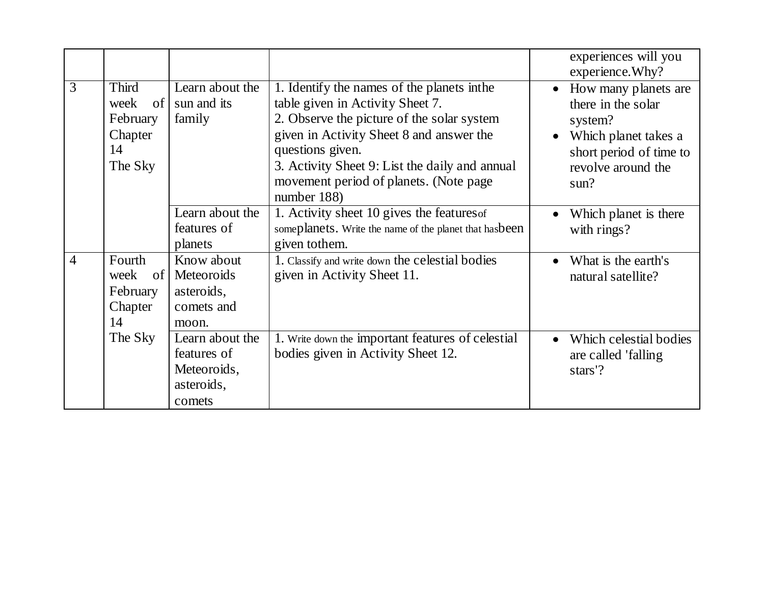|                |                                                             |                                                                       |                                                                                                                                                                                                                                                                                                          | experiences will you<br>experience. Why?                                                                                                                         |
|----------------|-------------------------------------------------------------|-----------------------------------------------------------------------|----------------------------------------------------------------------------------------------------------------------------------------------------------------------------------------------------------------------------------------------------------------------------------------------------------|------------------------------------------------------------------------------------------------------------------------------------------------------------------|
| 3              | Third<br>of<br>week<br>February<br>Chapter<br>14<br>The Sky | Learn about the<br>sun and its<br>family                              | 1. Identify the names of the planets in the<br>table given in Activity Sheet 7.<br>2. Observe the picture of the solar system<br>given in Activity Sheet 8 and answer the<br>questions given.<br>3. Activity Sheet 9: List the daily and annual<br>movement period of planets. (Note page<br>number 188) | How many planets are<br>$\bullet$<br>there in the solar<br>system?<br>Which planet takes a<br>$\bullet$<br>short period of time to<br>revolve around the<br>sum? |
|                |                                                             | Learn about the<br>features of<br>planets                             | 1. Activity sheet 10 gives the features of<br>someplanets. Write the name of the planet that hasbeen<br>given to them.                                                                                                                                                                                   | Which planet is there<br>with rings?                                                                                                                             |
| $\overline{4}$ | Fourth<br>week<br>of<br>February<br>Chapter<br>14           | Know about<br>Meteoroids<br>asteroids,<br>comets and<br>moon.         | 1. Classify and write down the celestial bodies<br>given in Activity Sheet 11.                                                                                                                                                                                                                           | What is the earth's<br>natural satellite?                                                                                                                        |
|                | The Sky                                                     | Learn about the<br>features of<br>Meteoroids,<br>asteroids,<br>comets | 1. Write down the important features of celestial<br>bodies given in Activity Sheet 12.                                                                                                                                                                                                                  | Which celestial bodies<br>$\bullet$<br>are called 'falling<br>stars'?                                                                                            |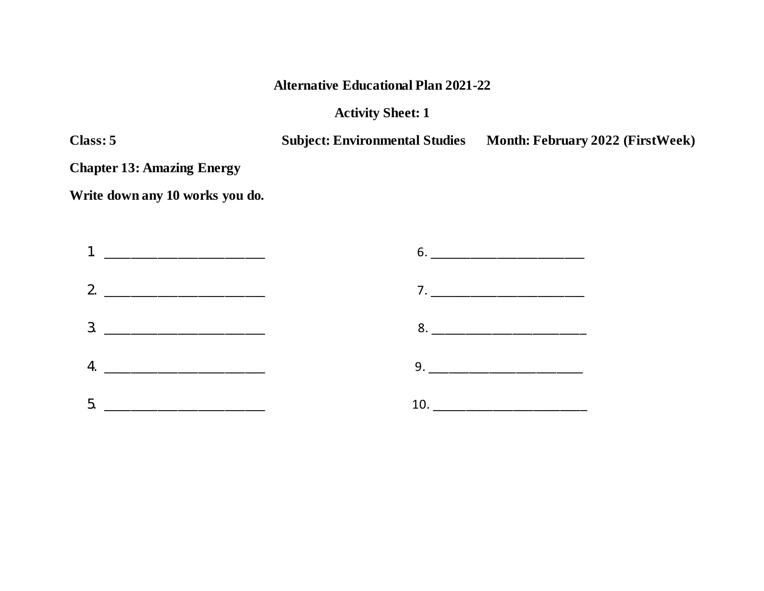### **Alternative Educational Plan 2021-22**

#### **Activity Sheet: 1**

**Class: 5 Subject: Environmental Studies Month: February 2022 (FirstWeek)**

**Chapter 13: Amazing Energy**

**Write down any 10 works you do.**

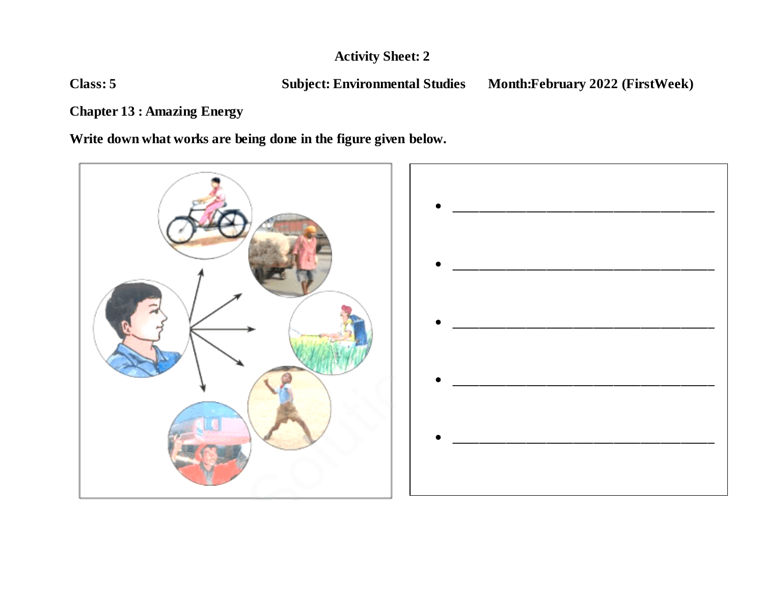**Class: 5 Subject: Environmental Studies Month:February 2022 (FirstWeek)**

**Chapter 13 : Amazing Energy**

**Write down what works are being done in the figure given below.**



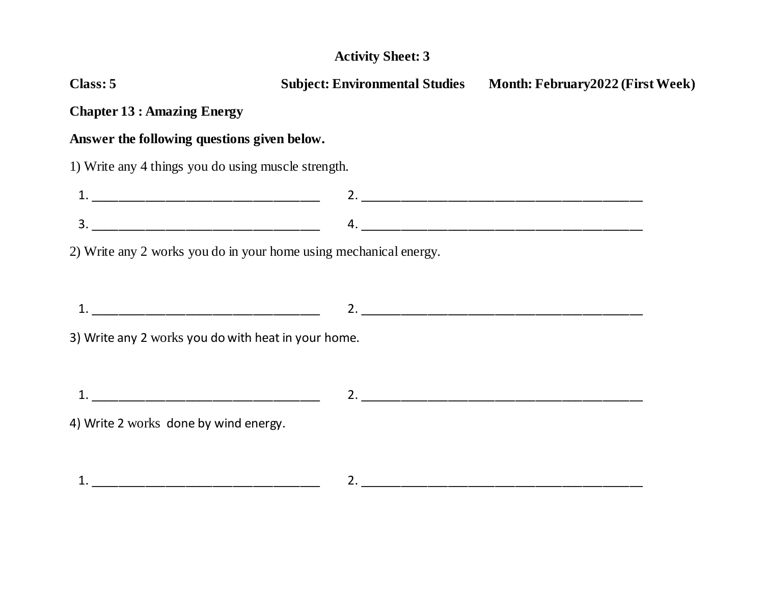| Class: 5                                                                                                                                                                                                                                                                                                                                                                                                                                                           | <b>Subject: Environmental Studies</b> | <b>Month: February2022 (First Week)</b> |
|--------------------------------------------------------------------------------------------------------------------------------------------------------------------------------------------------------------------------------------------------------------------------------------------------------------------------------------------------------------------------------------------------------------------------------------------------------------------|---------------------------------------|-----------------------------------------|
| <b>Chapter 13 : Amazing Energy</b>                                                                                                                                                                                                                                                                                                                                                                                                                                 |                                       |                                         |
| Answer the following questions given below.                                                                                                                                                                                                                                                                                                                                                                                                                        |                                       |                                         |
| 1) Write any 4 things you do using muscle strength.                                                                                                                                                                                                                                                                                                                                                                                                                |                                       |                                         |
|                                                                                                                                                                                                                                                                                                                                                                                                                                                                    |                                       |                                         |
| $\begin{array}{cccccccccccccc} 3. & \textcolor{red}{\textbf{12.12}} & \textcolor{red}{\textbf{13.13}} & \textcolor{red}{\textbf{14.13}} & \textcolor{red}{\textbf{15.13}} & \textcolor{red}{\textbf{15.13}} & \textcolor{red}{\textbf{15.13}} & \textcolor{red}{\textbf{15.13}} & \textcolor{red}{\textbf{15.13}} & \textcolor{red}{\textbf{15.13}} & \textcolor{red}{\textbf{15.13}} & \textcolor{red}{\textbf{15.13}} & \textcolor{red}{\textbf{15.13}} & \text$ |                                       |                                         |
| 2) Write any 2 works you do in your home using mechanical energy.                                                                                                                                                                                                                                                                                                                                                                                                  |                                       |                                         |
|                                                                                                                                                                                                                                                                                                                                                                                                                                                                    |                                       |                                         |
|                                                                                                                                                                                                                                                                                                                                                                                                                                                                    |                                       |                                         |
| 3) Write any 2 works you do with heat in your home.                                                                                                                                                                                                                                                                                                                                                                                                                |                                       |                                         |
|                                                                                                                                                                                                                                                                                                                                                                                                                                                                    |                                       |                                         |
| <u> 1980 - Johann Stoff, deutscher Stoff, der Stoff, der Stoff, der Stoff, der Stoff, der Stoff, der Stoff, der S</u>                                                                                                                                                                                                                                                                                                                                              |                                       | 2.                                      |
| 4) Write 2 works done by wind energy.                                                                                                                                                                                                                                                                                                                                                                                                                              |                                       |                                         |
|                                                                                                                                                                                                                                                                                                                                                                                                                                                                    |                                       |                                         |
|                                                                                                                                                                                                                                                                                                                                                                                                                                                                    |                                       | 2.                                      |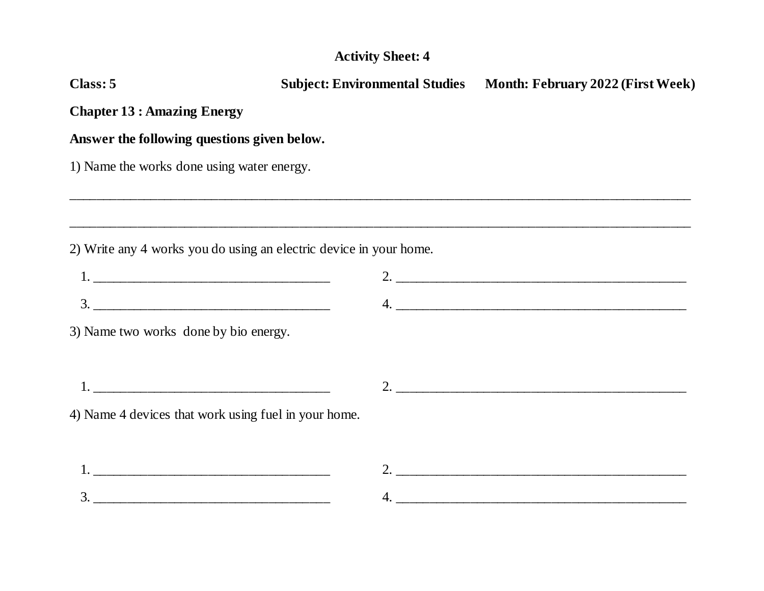| Class: 5                                             |                                                                                  | Subject: Environmental Studies Month: February 2022 (First Week) |  |  |  |
|------------------------------------------------------|----------------------------------------------------------------------------------|------------------------------------------------------------------|--|--|--|
| <b>Chapter 13 : Amazing Energy</b>                   |                                                                                  |                                                                  |  |  |  |
| Answer the following questions given below.          |                                                                                  |                                                                  |  |  |  |
| 1) Name the works done using water energy.           |                                                                                  |                                                                  |  |  |  |
|                                                      | ,我们也不会有什么?""我们的人,我们也不会有什么?""我们的人,我们也不会有什么?""我们的人,我们也不会有什么?""我们的人,我们也不会有什么?""我们的人 |                                                                  |  |  |  |
|                                                      | 2) Write any 4 works you do using an electric device in your home.               |                                                                  |  |  |  |
|                                                      |                                                                                  |                                                                  |  |  |  |
|                                                      |                                                                                  |                                                                  |  |  |  |
| 3) Name two works done by bio energy.                |                                                                                  |                                                                  |  |  |  |
|                                                      |                                                                                  |                                                                  |  |  |  |
| 4) Name 4 devices that work using fuel in your home. |                                                                                  |                                                                  |  |  |  |
|                                                      |                                                                                  |                                                                  |  |  |  |
|                                                      |                                                                                  |                                                                  |  |  |  |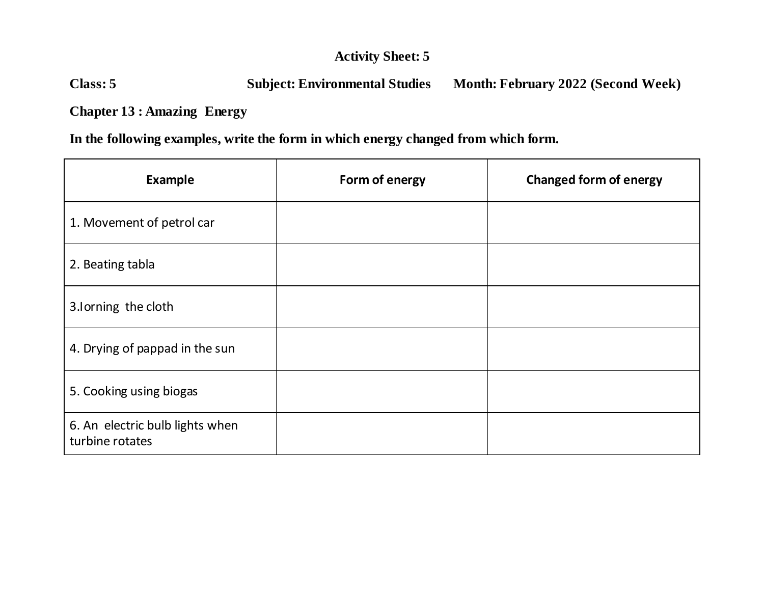## **Class: 5 Subject: Environmental Studies Month: February 2022 (Second Week)**

**Chapter 13 : Amazing Energy**

**In the following examples, write the form in which energy changed from which form.**

| <b>Example</b>                                     | Form of energy | <b>Changed form of energy</b> |
|----------------------------------------------------|----------------|-------------------------------|
| 1. Movement of petrol car                          |                |                               |
| 2. Beating tabla                                   |                |                               |
| 3.Iorning the cloth                                |                |                               |
| 4. Drying of pappad in the sun                     |                |                               |
| 5. Cooking using biogas                            |                |                               |
| 6. An electric bulb lights when<br>turbine rotates |                |                               |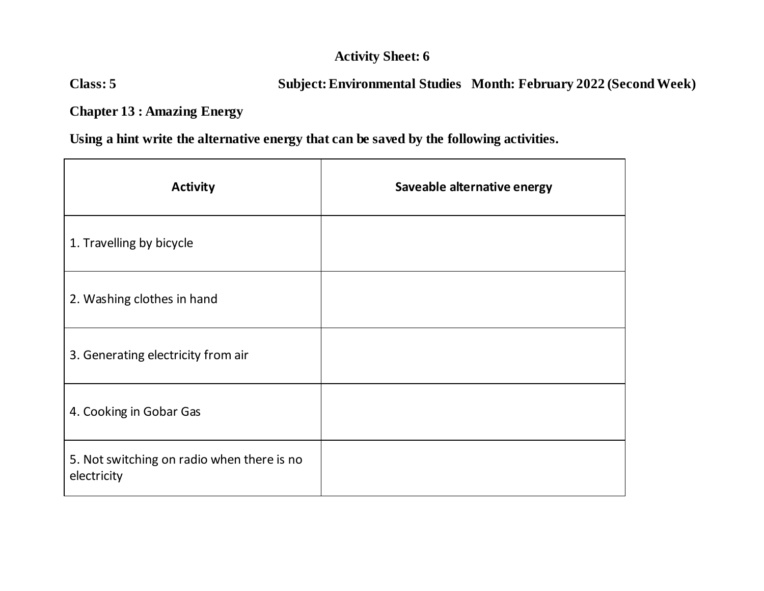## **Class: 5 Subject: Environmental Studies Month: February 2022 (SecondWeek)**

**Chapter 13 : Amazing Energy**

**Using a hint write the alternative energy that can be saved by the following activities.**

| <b>Activity</b>                                           | Saveable alternative energy |
|-----------------------------------------------------------|-----------------------------|
| 1. Travelling by bicycle                                  |                             |
| 2. Washing clothes in hand                                |                             |
| 3. Generating electricity from air                        |                             |
| 4. Cooking in Gobar Gas                                   |                             |
| 5. Not switching on radio when there is no<br>electricity |                             |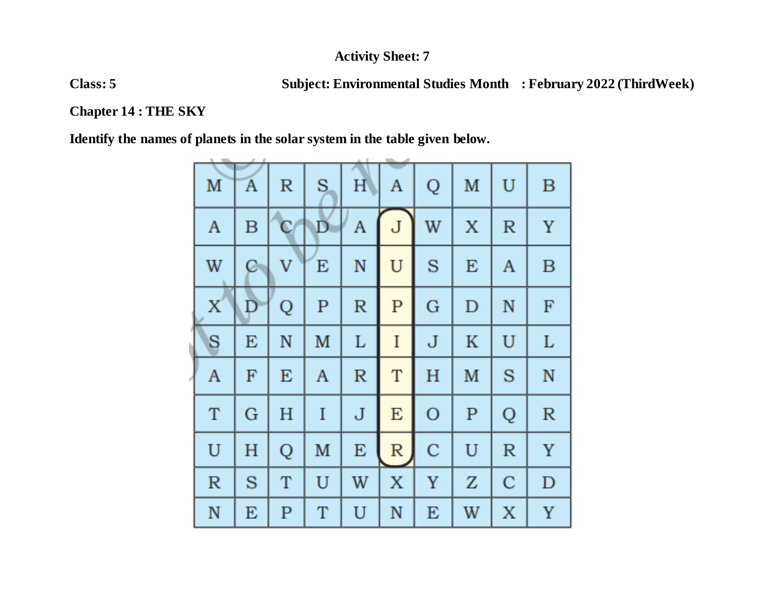**Class: 5 Subject: Environmental Studies Month : February 2022 (ThirdWeek)**

**Chapter 14 : THE SKY**

**Identify the names of planets in the solar system in the table given below.**

| M            | A | $\mathbb R$ | S           | H           | A           | Q           | M           | $\mathbf U$ | B           |
|--------------|---|-------------|-------------|-------------|-------------|-------------|-------------|-------------|-------------|
| A            | B | $\mathbf C$ | $\mathbf D$ | A           | J           | W           | X           | $\mathbb R$ | Y           |
| W            | C | V           | E           | ${\bf N}$   | $\mathbf U$ | S           | E           | A           | $\mathbf B$ |
| X            | Đ | Q           | $\mathbf P$ | $\mathbb R$ | $\mathbf P$ | G           | D           | N           | $_{\rm F}$  |
| S            | E | $\mathbb N$ | M           | L           | I           | J           | K           | U           | L           |
| A            | F | E           | A           | $\mathbb R$ | $\mathbf T$ | H           | M           | S           | $\mathbb N$ |
| T            | G | H           | I           | $\mathbf J$ | E           | $\mathbf O$ | $\mathbf P$ | Q           | $\mathbb R$ |
| $\mathbf U$  | H | Q           | M           | E           | $\mathbb R$ | $\mathbf C$ | U           | $\mathbb R$ | $\mathbf Y$ |
| $\mathbb{R}$ | S | T           | U           | W           | X           | Y           | Z           | $\mathbf C$ | $\mathbf D$ |
| $\mathbb N$  | E | ${\bf P}$   | T           | U           | N           | E           | W           | X           | Y           |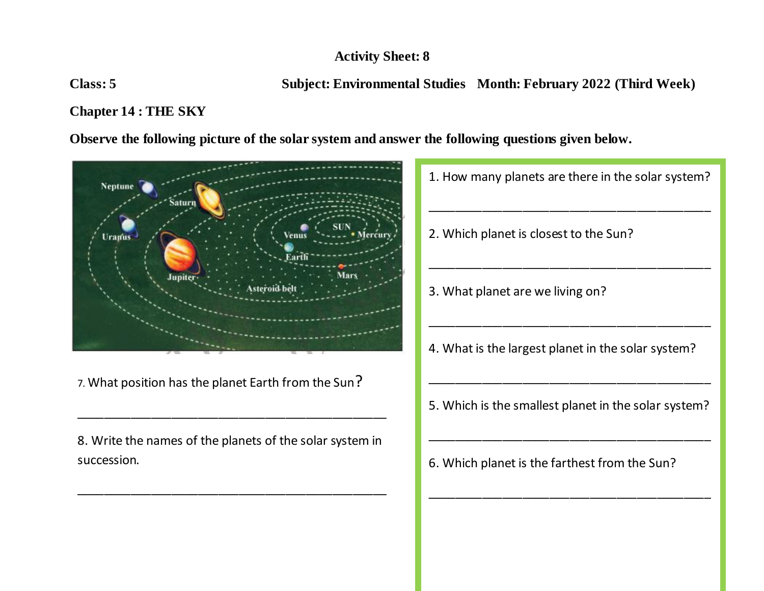**Class: 5 Subject: Environmental Studies Month: February 2022 (Third Week)**

## **Chapter 14 : THE SKY**

**Observe the following picture of the solar system and answer the following questions given below.**



7. What position has the planet Earth from the Sun?

8. Write the names of the planets of the solar system in succession.

\_\_\_\_\_\_\_\_\_\_\_\_\_\_\_\_\_\_\_\_\_\_\_\_\_\_\_\_\_\_\_\_\_\_\_\_\_\_\_\_\_\_\_\_\_\_

\_\_\_\_\_\_\_\_\_\_\_\_\_\_\_\_\_\_\_\_\_\_\_\_\_\_\_\_\_\_\_\_\_\_\_\_\_\_\_\_\_\_\_\_\_\_

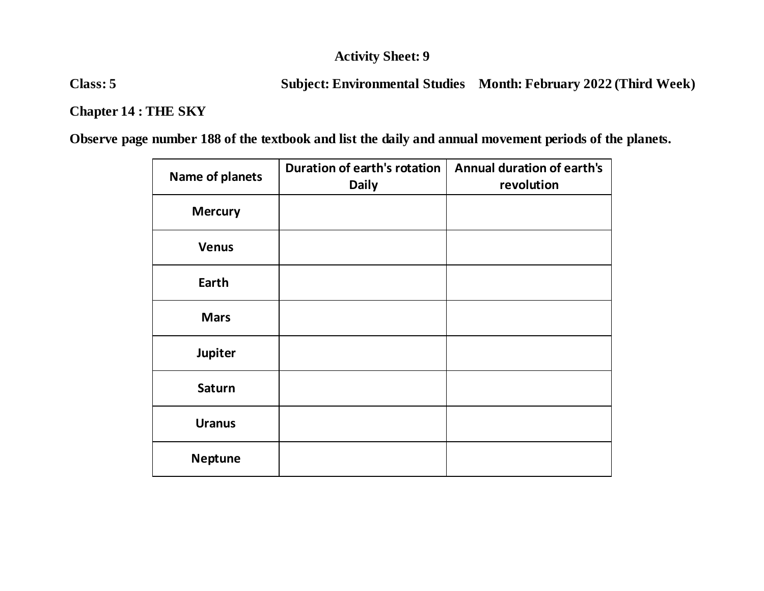**Class: 5 Subject: Environmental Studies Month: February 2022 (Third Week)**

## **Chapter 14 : THE SKY**

**Observe page number 188 of the textbook and list the daily and annual movement periods of the planets.**

| Name of planets | Duration of earth's rotation<br><b>Daily</b> | <b>Annual duration of earth's</b><br>revolution |
|-----------------|----------------------------------------------|-------------------------------------------------|
| <b>Mercury</b>  |                                              |                                                 |
| <b>Venus</b>    |                                              |                                                 |
| Earth           |                                              |                                                 |
| <b>Mars</b>     |                                              |                                                 |
| Jupiter         |                                              |                                                 |
| <b>Saturn</b>   |                                              |                                                 |
| <b>Uranus</b>   |                                              |                                                 |
| <b>Neptune</b>  |                                              |                                                 |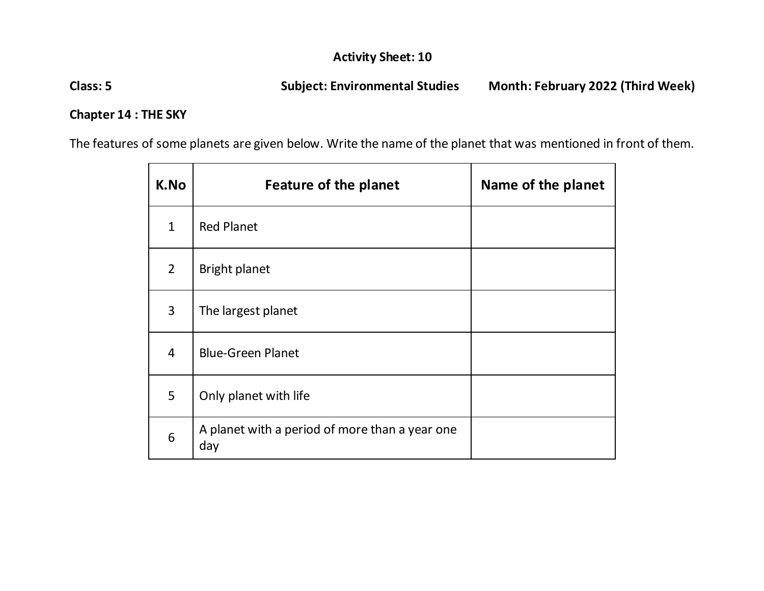**Class: 5 Subject: Environmental Studies Month: February 2022 (Third Week)**

#### **Chapter 14 : THE SKY**

The features of some planets are given below. Write the name of the planet that was mentioned in front of them.

| K.No           | <b>Feature of the planet</b>                          | Name of the planet |
|----------------|-------------------------------------------------------|--------------------|
| $\mathbf{1}$   | <b>Red Planet</b>                                     |                    |
| $\overline{2}$ | <b>Bright planet</b>                                  |                    |
| 3              | The largest planet                                    |                    |
| 4              | <b>Blue-Green Planet</b>                              |                    |
| 5              | Only planet with life                                 |                    |
| 6              | A planet with a period of more than a year one<br>day |                    |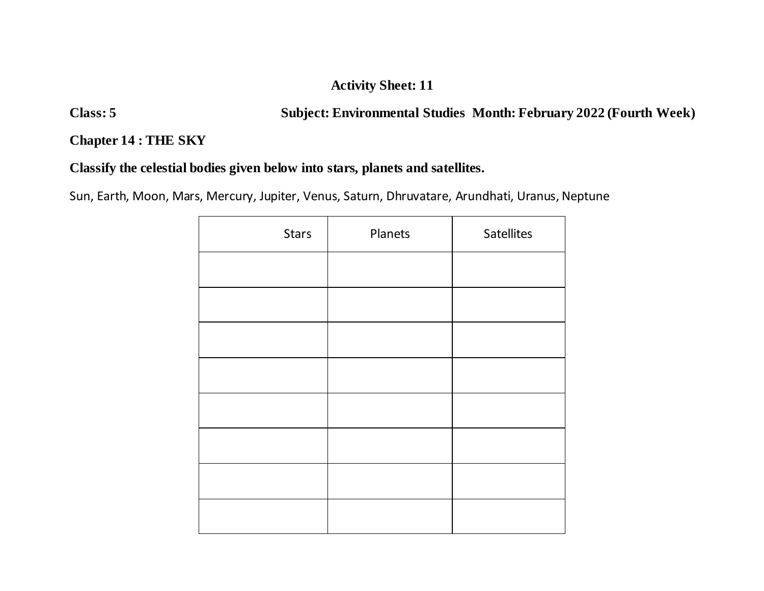**Class: 5 Subject: Environmental Studies Month: February 2022 (Fourth Week)**

**Chapter 14 : THE SKY**

## **Classify the celestial bodies given below into stars, planets and satellites.**

Sun, Earth, Moon, Mars, Mercury, Jupiter, Venus, Saturn, Dhruvatare, Arundhati, Uranus, Neptune

| <b>Stars</b> | Planets | <b>Satellites</b> |
|--------------|---------|-------------------|
|              |         |                   |
|              |         |                   |
|              |         |                   |
|              |         |                   |
|              |         |                   |
|              |         |                   |
|              |         |                   |
|              |         |                   |